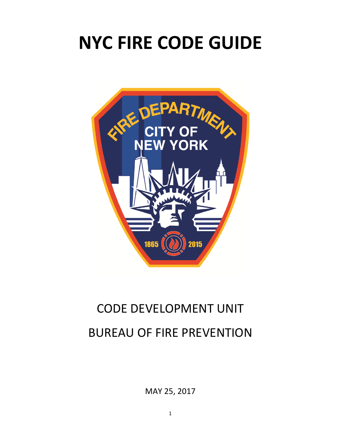# **NYC FIRE CODE GUIDE**



## CODE DEVELOPMENT UNIT BUREAU OF FIRE PREVENTION

MAY 25, 2017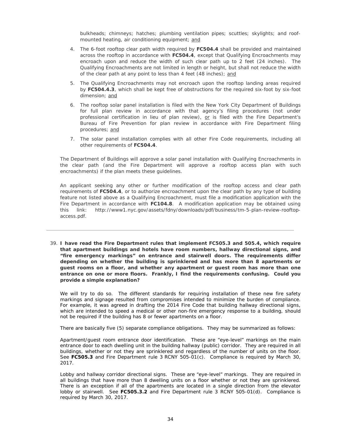bulkheads; chimneys; hatches; plumbing ventilation pipes; scuttles; skylights; and roofmounted heating, air conditioning equipment; and

- 4. The 6-foot rooftop clear path width required by **FC504.4** shall be provided and maintained across the rooftop in accordance with **FC504.4**, except that Qualifying Encroachments may encroach upon and reduce the width of such clear path up to 2 feet (24 inches). The Qualifying Encroachments are not limited in length or height, but shall not reduce the width of the clear path at any point to less than 4 feet (48 inches); and
- 5. The Qualifying Encroachments may not encroach upon the rooftop landing areas required by **FC504.4.3**, which shall be kept free of obstructions for the required six-foot by six-foot dimension; and
- 6. The rooftop solar panel installation is filed with the New York City Department of Buildings for full plan review in accordance with that agency's filing procedures (not under professional certification in lieu of plan review), or is filed with the Fire Department's Bureau of Fire Prevention for plan review in accordance with Fire Department filing procedures; and
- 7. The solar panel installation complies with all other Fire Code requirements, including all other requirements of **FC504.4**.

The Department of Buildings will approve a solar panel installation with Qualifying Encroachments in the clear path (and the Fire Department will approve a rooftop access plan with such encroachments) if the plan meets these guidelines.

An applicant seeking any other or further modification of the rooftop access and clear path requirements of **FC504.4**, or to authorize encroachment upon the clear path by any type of building feature not listed above as a Qualifying Encroachment, must file a modification application with the Fire Department in accordance with **FC104.8**. A modification application may be obtained using this link: http://www1.nyc.gov/assets/fdny/downloads/pdf/business/tm-5-plan-review-rooftopaccess.pdf.

39. **I have read the Fire Department rules that implement FC505.3 and 505.4, which require that apartment buildings and hotels have room numbers, hallway directional signs, and "fire emergency markings" on entrance and stairwell doors. The requirements differ depending on whether the building is sprinklered and has more than 8 apartments or guest rooms on a floor, and whether any apartment or guest room has more than one entrance on one or more floors. Frankly, I find the requirements confusing. Could you provide a simple explanation?**

We will try to do so. The different standards for requiring installation of these new fire safety markings and signage resulted from compromises intended to minimize the burden of compliance. For example, it was agreed in drafting the 2014 Fire Code that building hallway directional signs, which are intended to speed a medical or other non-fire emergency response to a building, should not be required if the building has 8 or fewer apartments on a floor.

There are basically five (5) separate compliance obligations. They may be summarized as follows:

Apartment/guest room entrance door identification. These are "eye-level" markings on the main entrance door to each dwelling unit in the building hallway (public) corridor. They are required in all buildings, whether or not they are sprinklered and regardless of the number of units on the floor. See **FC505.3** and Fire Department rule 3 RCNY 505-01(c).Compliance is required by March 30, 2017.

Lobby and hallway corridor directional signs. These are "eye-level" markings. They are required in all buildings that have more than 8 dwelling units on a floor whether or not they are sprinklered. There is an exception if all of the apartments are located in a single direction from the elevator lobby or stairwell. See **FC505.3.2** and Fire Department rule 3 RCNY 505-01(d).Compliance is required by March 30, 2017.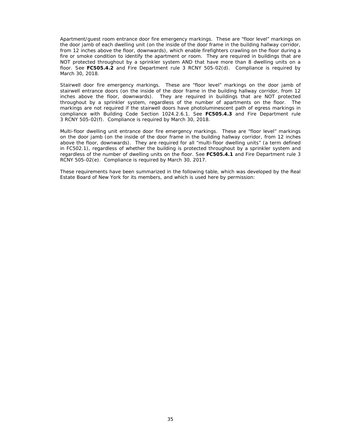Apartment/guest room entrance door fire emergency markings. These are "floor level" markings on the door jamb of each dwelling unit (on the inside of the door frame in the building hallway corridor, from 12 inches above the floor, downwards), which enable firefighters crawling on the floor during a fire or smoke condition to identify the apartment or room. They are required in buildings that are NOT protected throughout by a sprinkler system AND that have more than 8 dwelling units on a floor. See **FC505.4.2** and Fire Department rule 3 RCNY 505-02(d).Compliance is required by March 30, 2018.

Stairwell door fire emergency markings. These are "floor level" markings on the door jamb of stairwell entrance doors (on the inside of the door frame in the building hallway corridor, from 12 inches above the floor, downwards). They are required in buildings that are NOT protected throughout by a sprinkler system, regardless of the number of apartments on the floor. The markings are not required if the stairwell doors have photoluminescent path of egress markings in compliance with Building Code Section 1024.2.6.1. See **FC505.4.3** and Fire Department rule 3 RCNY 505-02(f).Compliance is required by March 30, 2018.

Multi-floor dwelling unit entrance door fire emergency markings. These are "floor level" markings on the door jamb (on the inside of the door frame in the building hallway corridor, from 12 inches above the floor, downwards). They are required for all "multi-floor dwelling units" (a term defined in FC502.1), regardless of whether the building is protected throughout by a sprinkler system and regardless of the number of dwelling units on the floor. See **FC505.4.1** and Fire Department rule 3 RCNY 505-02(e).Compliance is required by March 30, 2017.

These requirements have been summarized in the following table, which was developed by the Real Estate Board of New York for its members, and which is used here by permission: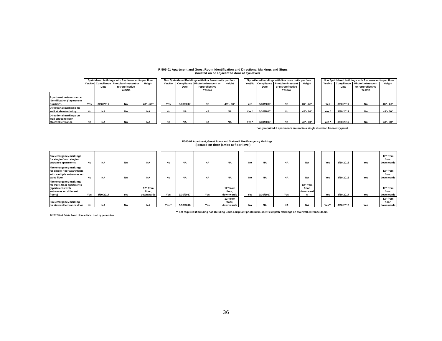#### **R 505-01 Apartment and Guest Room Identification and Directional Markings and Signs (located on or adjacent to door at eye-level)**

|                                                                     | Sprinklered buildings with 8 or fewer units per floor |           |                                       |           |        | Non Sprinklered Buildings with 8 or fewer units per floor |                     |           |  |                  | Sprinklered buildings with 9 or more units per floor |                                    |           |  |                  | Non Sprinklered buildings with 9 or more units per floor |                    |           |  |  |
|---------------------------------------------------------------------|-------------------------------------------------------|-----------|---------------------------------------|-----------|--------|-----------------------------------------------------------|---------------------|-----------|--|------------------|------------------------------------------------------|------------------------------------|-----------|--|------------------|----------------------------------------------------------|--------------------|-----------|--|--|
|                                                                     |                                                       |           | Yes/No Compliance Photoluminescent or | Height    | Yes/No | Compliance                                                | Photoluminescent or | Height    |  |                  |                                                      | Yes/No Compliance Photoluminescent | Height    |  | Yes/No           | Compliance                                               | Photoluminescent   | Heiaht    |  |  |
|                                                                     |                                                       | Date      | retroreflective                       |           |        | Date                                                      | retroreflective     |           |  |                  | Date                                                 | or retroreflective                 |           |  |                  | Date                                                     | or retroreflective |           |  |  |
|                                                                     |                                                       |           | Yes/No                                |           |        |                                                           | Yes/No              |           |  |                  |                                                      | Yes/No                             |           |  |                  |                                                          | Yes/No             |           |  |  |
| Apartment main entrance<br>identification ("apartment<br>Inumber")  | Yes                                                   | 3/30/2017 | No                                    | 48" - 60" | Yes    | 3/30/2017                                                 | No                  | 48" - 60" |  | Yes              | 3/30/2017                                            | No                                 | 48" - 60" |  | Yes              | 3/30/2017                                                | No                 | 48" - 60" |  |  |
| Directional markings on<br>wall at elevator lobby                   | No                                                    | <b>NA</b> | <b>NA</b>                             | <b>NA</b> | No     | <b>NA</b>                                                 | <b>NA</b>           | <b>NA</b> |  | Yes*             | 3/30/2017                                            | No                                 | 48"-60"   |  | Yes <sup>*</sup> | 3/30/2017                                                | No                 | 48"-60"   |  |  |
| Directional markings on<br>wall opposite each<br>stairwell entrance | No                                                    | <b>NA</b> | <b>NA</b>                             | <b>NA</b> |        | <b>NA</b>                                                 | <b>NA</b>           | <b>NA</b> |  | Yes <sup>*</sup> | 3/30/2017                                            | N٥                                 | 48"-60"   |  | Yes <sup>*</sup> | 3/30/2017                                                | No                 | 48"-60"   |  |  |

**\* only required if apartments are not in a single direction from entry point**

## **R505-02 Apartment, Guest Room and Stairwell Fire Emergency Markings (located on door jambs at floor level)**

| Fire emergency markings<br>for single-floor, single-<br>entrance apartments                                    | No  | <b>NA</b> | <b>NA</b> | <b>NA</b>                         | No    | NA        | NA  | <b>NA</b>                       | No  | <b>NA</b> | <b>NA</b> | <b>NA</b>                      | Yes   | 3/30/2018 | Yes | 12" from<br>floor.<br>downwards |
|----------------------------------------------------------------------------------------------------------------|-----|-----------|-----------|-----------------------------------|-------|-----------|-----|---------------------------------|-----|-----------|-----------|--------------------------------|-------|-----------|-----|---------------------------------|
| Fire emergency markings<br>for single-floor apartments<br>with multiple entrances on<br>same floor             | No  | <b>NA</b> | <b>NA</b> | <b>NA</b>                         | No    | <b>NA</b> | NA  | <b>NA</b>                       | No  | <b>NA</b> | <b>NA</b> | <b>NA</b>                      | Yes   | 3/30/2018 | Yes | 12" from<br>floor.<br>downwards |
| Fire emergency markings<br>for multi-floor apartments<br>(apartments with<br>entrances on different<br>floors) | Yes | 3/30/2017 | Yes       | 12" from<br>floor,<br>  downwards | Yes   | 3/30/2017 | Yes | 12" from<br>floor.<br>downwards | Yes | 3/30/2017 | Yes       | 12" from<br>floor.<br>downward | Yes   | 3/30/2017 | Yes | 12" from<br>floor.<br>downwards |
| Fire emergency marking<br>on stairwell entrance door                                                           | No  | <b>NA</b> | <b>NA</b> | <b>NA</b>                         | Yes** | 3/30/2018 | Yes | 12" from<br>floor.<br>downwards | No  | <b>NA</b> | <b>NA</b> | <b>NA</b>                      | Yes** | 3/30/2018 | Yes | 12" from<br>floor.<br>downwards |

**© 2017 Real Estate Board of New York. Used by permission**

**\*\* not required if building has Building Code-compliant photoluminiscent exit path markings on stairwell entrance doors**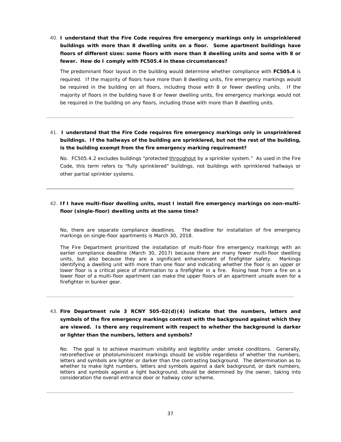40. **I understand that the Fire Code requires fire emergency markings only in unsprinklered buildings with more than 8 dwelling units on a floor. Some apartment buildings have floors of different sizes: some floors with more than 8 dwelling units and some with 8 or fewer. How do I comply with FC505.4 in these circumstances?**

The predominant floor layout in the building would determine whether compliance with **FC505.4** is required. If the majority of floors have more than 8 dwelling units, fire emergency markings would be required in the building on all floors, including those with 8 or fewer dwelling units. If the majority of floors in the building have 8 or fewer dwelling units, fire emergency markings would not be required in the building on any floors, including those with more than 8 dwelling units.

41. **I understand that the Fire Code requires fire emergency markings only in unsprinklered buildings. If the hallways of the building are sprinklered, but not the rest of the building, is the building exempt from the fire emergency marking requirement?**

No. FC505.4.2 excludes buildings "protected throughout by a sprinkler system." As used in the Fire Code, this term refers to "fully sprinklered" buildings, not buildings with sprinklered hallways or other partial sprinkler systems.

### 42. **If I have multi-floor dwelling units, must I install fire emergency markings on non-multifloor (single-floor) dwelling units at the same time?**

No, there are separate compliance deadlines. The deadline for installation of fire emergency markings on single-floor apartments is March 30, 2018.

The Fire Department prioritized the installation of multi-floor fire emergency markings with an earlier compliance deadline (March 30, 2017) because there are many fewer multi-floor dwelling units, but also because they are a significant enhancement of firefighter safety. Markings identifying a dwelling unit with more than one floor and indicating whether the floor is an upper or lower floor is a critical piece of information to a firefighter in a fire. Rising heat from a fire on a lower floor of a multi-floor apartment can make the upper floors of an apartment unsafe even for a firefighter in bunker gear.

43. **Fire Department rule 3 RCNY 505-02(d)(4) indicate that the numbers, letters and symbols of the fire emergency markings contrast with the background against which they are viewed. Is there any requirement with respect to whether the background is darker or lighter than the numbers, letters and symbols?**

No. The goal is to achieve maximum visibility and legibility under smoke conditions. Generally, retroreflective or photoluminiscent markings should be visible regardless of whether the numbers, letters and symbols are lighter or darker than the contrasting background. The determination as to whether to make light numbers, letters and symbols against a dark background, or dark numbers, letters and symbols against a light background, should be determined by the owner, taking into consideration the overall entrance door or hallway color scheme.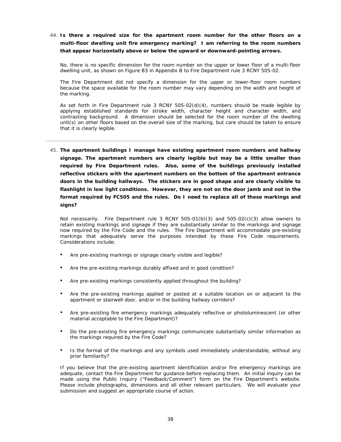44. **Is there a required size for the apartment room number for the other floors on a multi-floor dwelling unit fire emergency marking? I am referring to the room numbers that appear horizontally above or below the upward or downward-pointing arrows.**

No, there is no specific dimension for the room number on the upper or lower floor of a multi-floor dwelling unit, as shown on Figure B3 in Appendix B to Fire Department rule 3 RCNY 505-02.

The Fire Department did not specify a dimension for the upper or lower-floor room numbers because the space available for the room number may vary depending on the width and height of the marking.

As set forth in Fire Department rule 3 RCNY 505-02(d)(4), numbers should be made legible by applying established standards for stroke width, character height and character width, and contrasting background. A dimension should be selected for the room number of the dwelling unit(s) on other floors based on the overall size of the marking, but care should be taken to ensure that it is clearly legible.

45. **The apartment buildings I manage have existing apartment room numbers and hallway signage. The apartment numbers are clearly legible but may be a little smaller than required by Fire Department rules. Also, some of the buildings previously installed reflective stickers with the apartment numbers on the bottom of the apartment entrance doors in the building hallways. The stickers are in good shape and are clearly visible to flashlight in low light conditions. However, they are not on the door jamb and not in the format required by FC505 and the rules. Do I need to replace all of these markings and signs?**

Not necessarily. Fire Department rule 3 RCNY 505-01(b)(3) and 505-02(c)(3) allow owners to retain existing markings and signage if they are substantially similar to the markings and signage now required by the Fire Code and the rules. The Fire Department will accommodate pre-existing markings that adequately serve the purposes intended by these Fire Code requirements. Considerations include:

- Are pre-existing markings or signage clearly visible and legible?
- Are the pre-existing markings durably affixed and in good condition?
- Are pre-existing markings consistently applied throughout the building?
- Are the pre-existing markings applied or posted at a suitable location on or adjacent to the apartment or stairwell door, and/or in the building hallway corridors?
- Are pre-existing fire emergency markings adequately reflective or photoluminescent (or other material acceptable to the Fire Department)?
- Do the pre-existing fire emergency markings communicate substantially similar information as the markings required by the Fire Code?
- Is the format of the markings and any symbols used immediately understandable, without any prior familiarity?

If you believe that the pre-existing apartment identification and/or fire emergency markings are adequate, contact the Fire Department for guidance before replacing them. An initial inquiry can be made using the Public Inquiry ("Feedback/Comment") form on the Fire Department's website. Please include photographs, dimensions and all other relevant particulars. We will evaluate your submission and suggest an appropriate course of action.